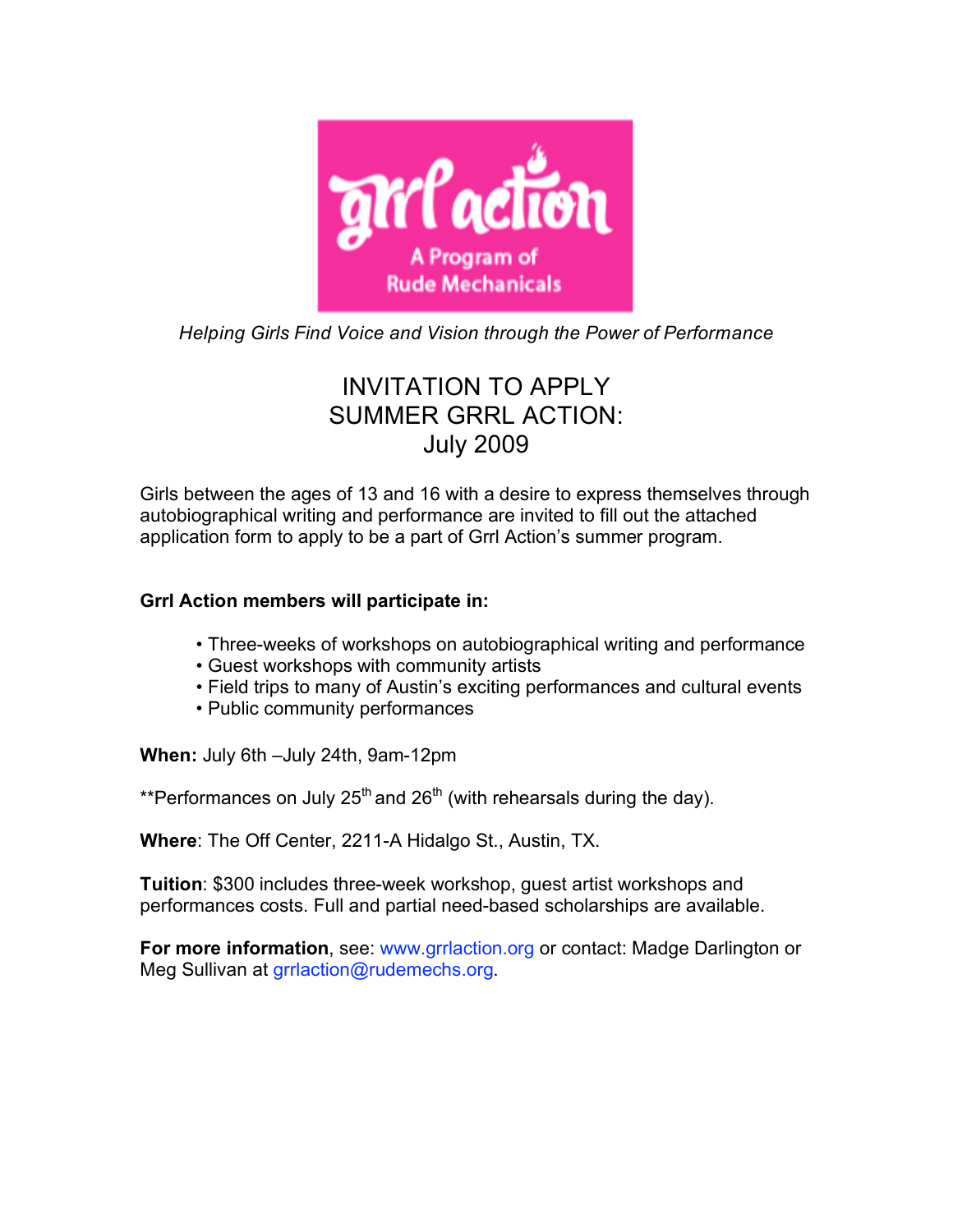

*Helping Girls Find Voice and Vision through the Power of Performance*

# INVITATION TO APPLY SUMMER GRRL ACTION: July 2009

Girls between the ages of 13 and 16 with a desire to express themselves through autobiographical writing and performance are invited to fill out the attached application form to apply to be a part of Grrl Action's summer program.

### **Grrl Action members will participate in:**

- Three-weeks of workshops on autobiographical writing and performance
- Guest workshops with community artists
- Field trips to many of Austin's exciting performances and cultural events
- Public community performances

**When:** July 6th –July 24th, 9am-12pm

\*\*Performances on July  $25<sup>th</sup>$  and  $26<sup>th</sup>$  (with rehearsals during the day).

**Where**: The Off Center, 2211-A Hidalgo St., Austin, TX.

**Tuition**: \$300 includes three-week workshop, guest artist workshops and performances costs. Full and partial need-based scholarships are available.

**For more information**, see: www.grrlaction.org or contact: Madge Darlington or Meg Sullivan at grrlaction@rudemechs.org.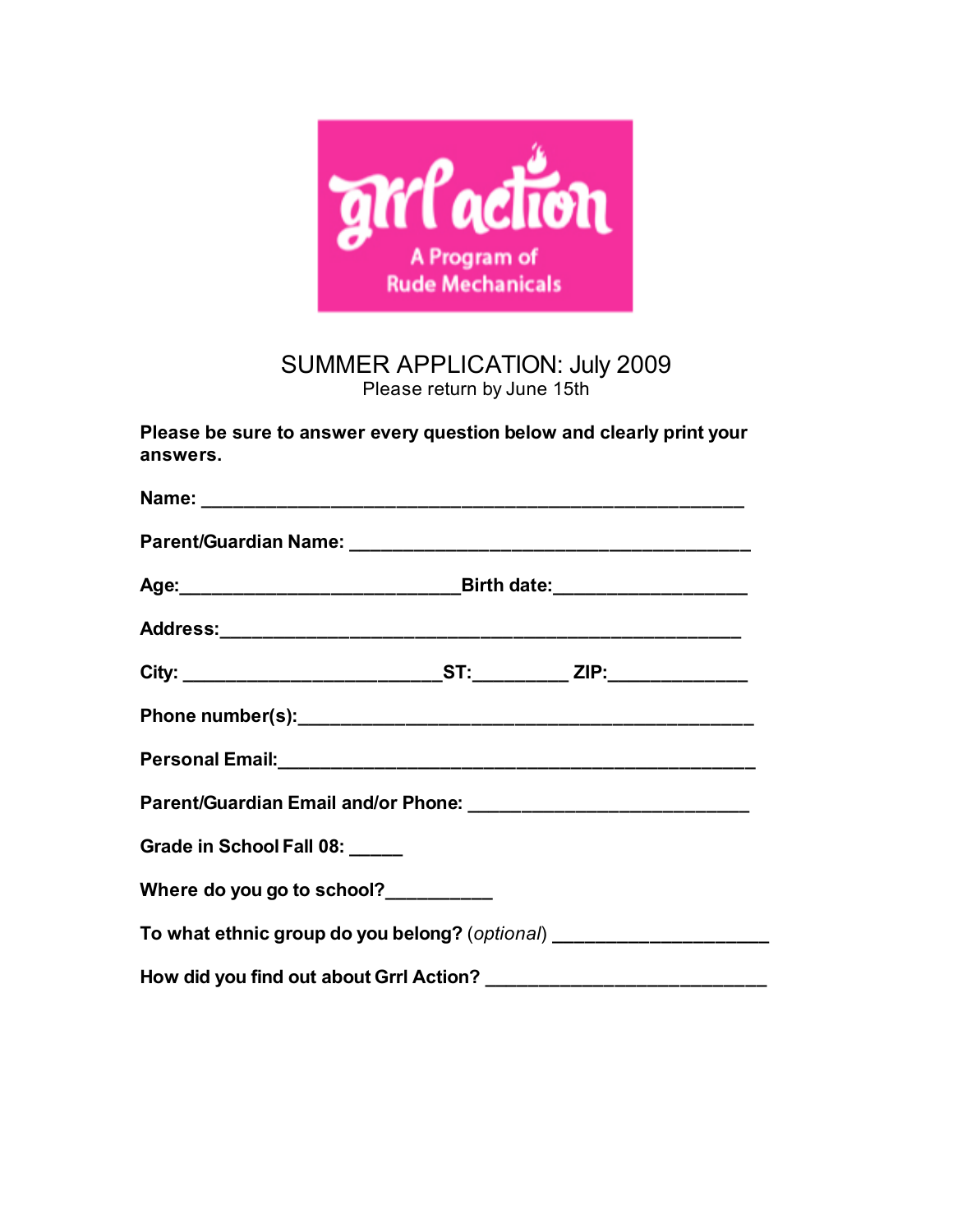

### SUMMER APPLICATION: July 2009 Please return by June 15th

**Please be sure to answer every question below and clearly print your answers.**

|                                                                      | Age:________________________________Birth date:______________________ |  |  |
|----------------------------------------------------------------------|-----------------------------------------------------------------------|--|--|
|                                                                      |                                                                       |  |  |
|                                                                      |                                                                       |  |  |
|                                                                      |                                                                       |  |  |
|                                                                      |                                                                       |  |  |
|                                                                      |                                                                       |  |  |
| Grade in School Fall 08: _____                                       |                                                                       |  |  |
| Where do you go to school?                                           |                                                                       |  |  |
| To what ethnic group do you belong? (optional) _____________________ |                                                                       |  |  |
|                                                                      |                                                                       |  |  |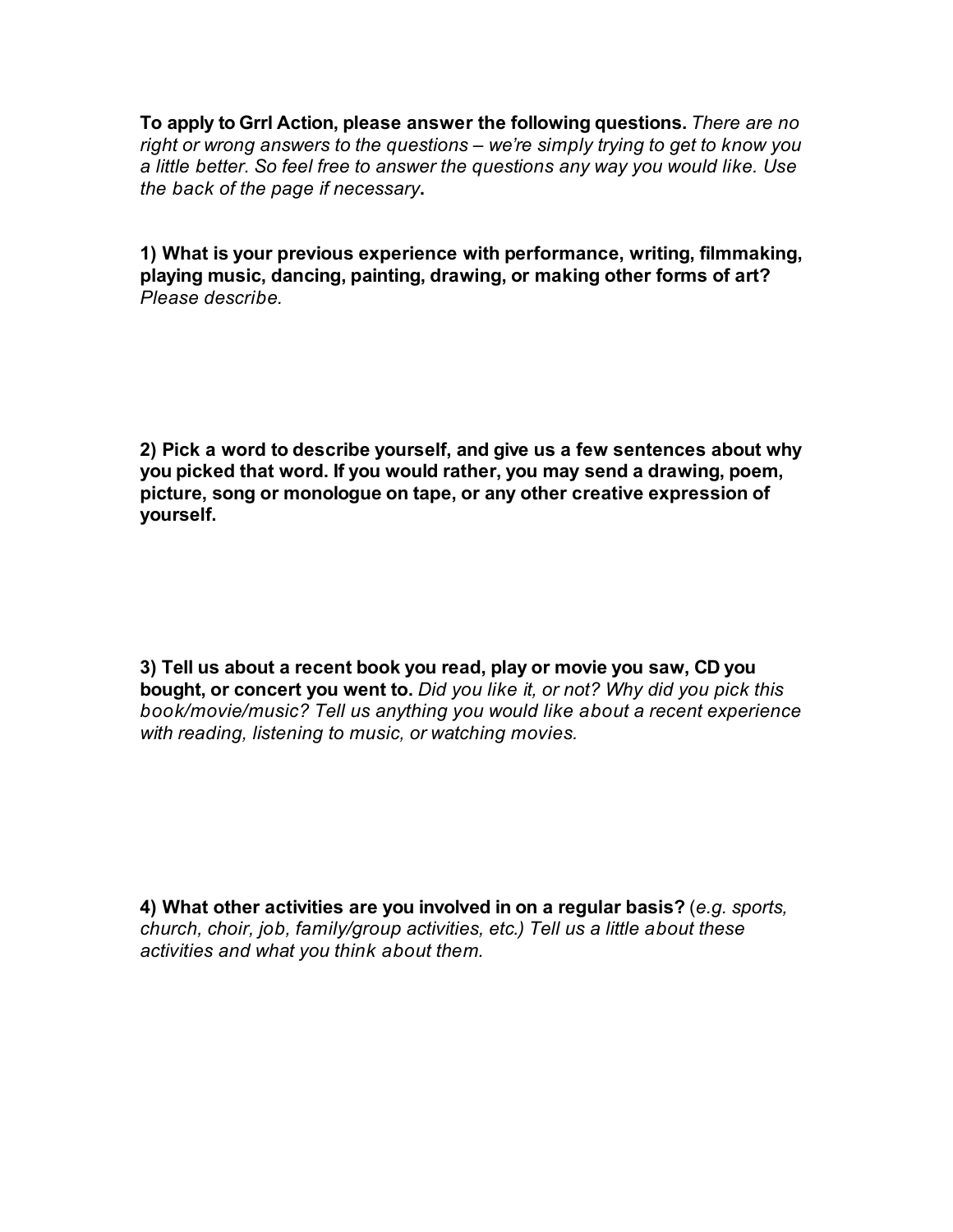**To apply to Grrl Action, please answer the following questions.** *There are no right or wrong answers to the questions – we're simply trying to get to know you a little better. So feel free to answer the questions any way you would like. Use the back of the page if necessary***.**

**1) What is your previous experience with performance, writing, filmmaking, playing music, dancing, painting, drawing, or making other forms of art?**  *Please describe.*

**2) Pick a word to describe yourself, and give us a few sentences about why you picked that word. If you would rather, you may send a drawing, poem, picture, song or monologue on tape, or any other creative expression of yourself.**

**3) Tell us about a recent book you read, play or movie you saw, CD you bought, or concert you went to.** *Did you like it, or not? Why did you pick this book/movie/music? Tell us anything you would like about a recent experience with reading, listening to music, or watching movies.*

**4) What other activities are you involved in on a regular basis?** (*e.g. sports, church, choir, job, family/group activities, etc.) Tell us a little about these activities and what you think about them.*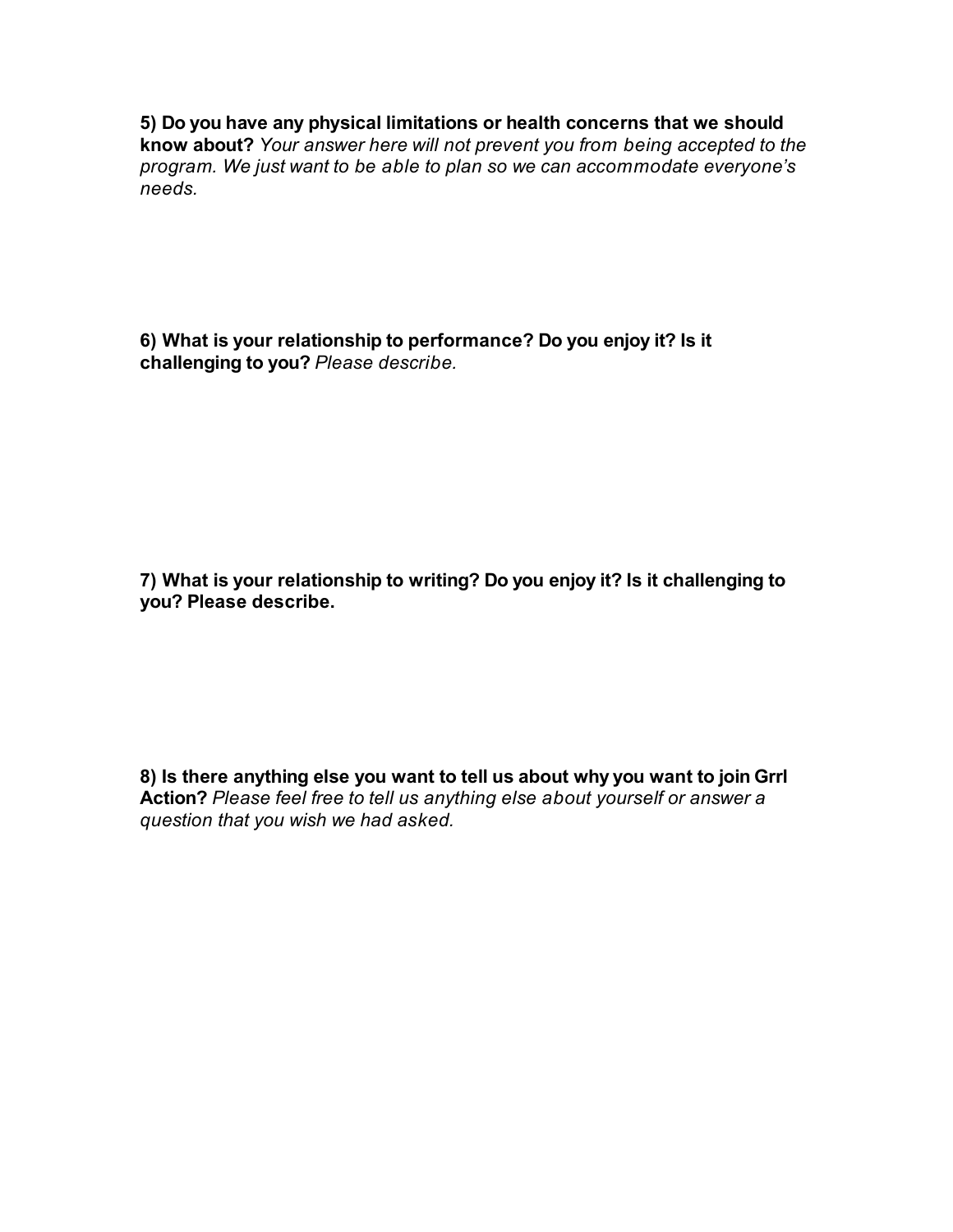**5) Do you have any physical limitations or health concerns that we should know about?** *Your answer here will not prevent you from being accepted to the program. We just want to be able to plan so we can accommodate everyone's needs.*

**6) What is your relationship to performance? Do you enjoy it? Is it challenging to you?** *Please describe.*

**7) What is your relationship to writing? Do you enjoy it? Is it challenging to you? Please describe.**

**8) Is there anything else you want to tell us about why you want to join Grrl Action?** *Please feel free to tell us anything else about yourself or answer a question that you wish we had asked.*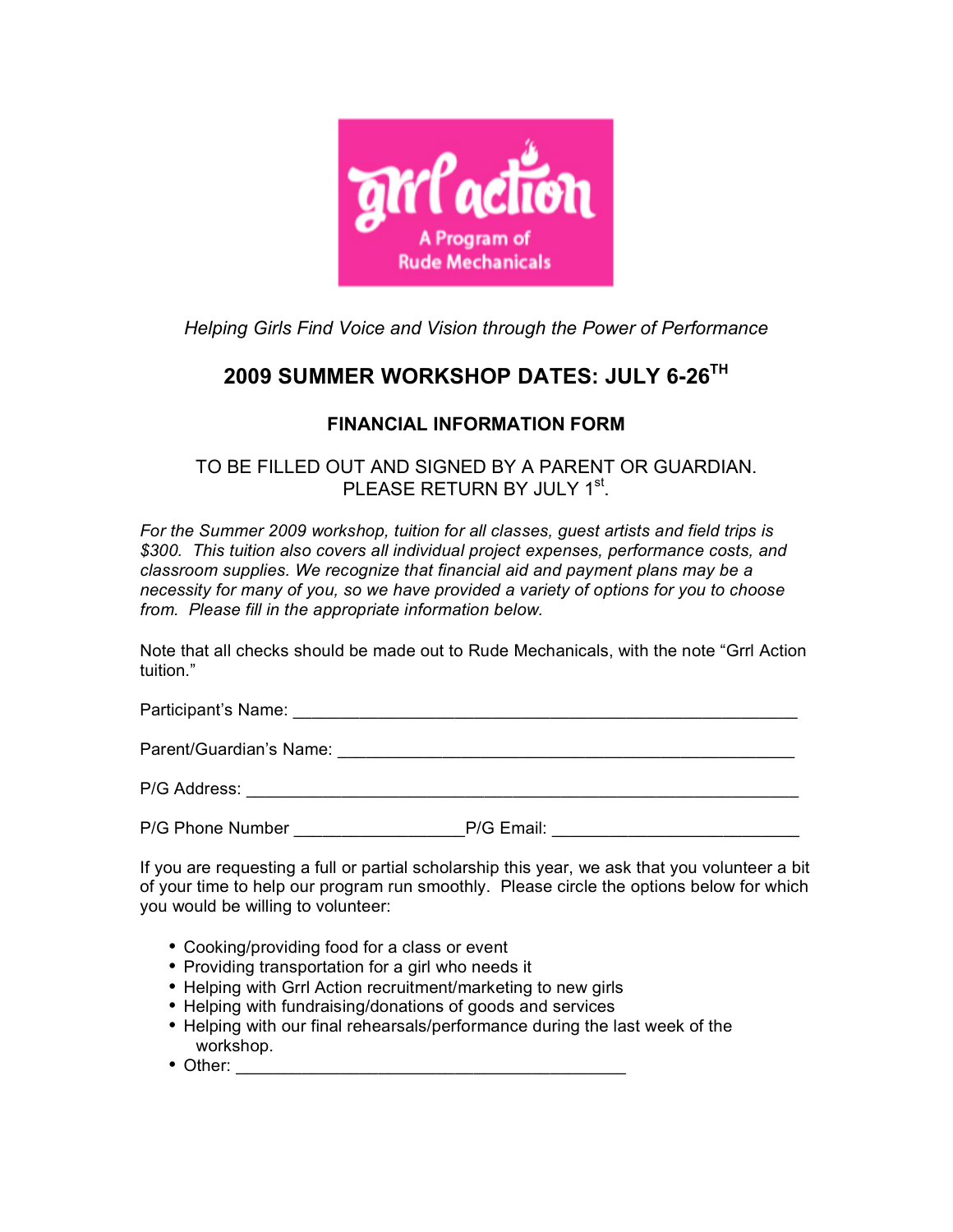

*Helping Girls Find Voice and Vision through the Power of Performance*

## **2009 SUMMER WORKSHOP DATES: JULY 6-26TH**

### **FINANCIAL INFORMATION FORM**

#### TO BE FILLED OUT AND SIGNED BY A PARENT OR GUARDIAN. PLEASE RETURN BY JULY 1<sup>st</sup>.

*For the Summer 2009 workshop, tuition for all classes, guest artists and field trips is \$300. This tuition also covers all individual project expenses, performance costs, and classroom supplies. We recognize that financial aid and payment plans may be a necessity for many of you, so we have provided a variety of options for you to choose from. Please fill in the appropriate information below.* 

Note that all checks should be made out to Rude Mechanicals, with the note "Grrl Action tuition."

Participant's Name: \_\_\_\_\_\_\_\_\_\_\_\_\_\_\_\_\_\_\_\_\_\_\_\_\_\_\_\_\_\_\_\_\_\_\_\_\_\_\_\_\_\_\_\_\_\_\_\_\_\_\_\_\_

Parent/Guardian's Name: \_\_\_\_\_\_\_\_\_\_\_\_\_\_\_\_\_\_\_\_\_\_\_\_\_\_\_\_\_\_\_\_\_\_\_\_\_\_\_\_\_\_\_\_\_\_\_\_

P/G Address: \_\_\_\_\_\_\_\_\_\_\_\_\_\_\_\_\_\_\_\_\_\_\_\_\_\_\_\_\_\_\_\_\_\_\_\_\_\_\_\_\_\_\_\_\_\_\_\_\_\_\_\_\_\_\_\_\_\_

P/G Phone Number **P/G Email:**  $P/G$  Email:

If you are requesting a full or partial scholarship this year, we ask that you volunteer a bit of your time to help our program run smoothly. Please circle the options below for which you would be willing to volunteer:

- Cooking/providing food for a class or event
- Providing transportation for a girl who needs it
- Helping with Grrl Action recruitment/marketing to new girls
- Helping with fundraising/donations of goods and services
- Helping with our final rehearsals/performance during the last week of the workshop.
- Other: